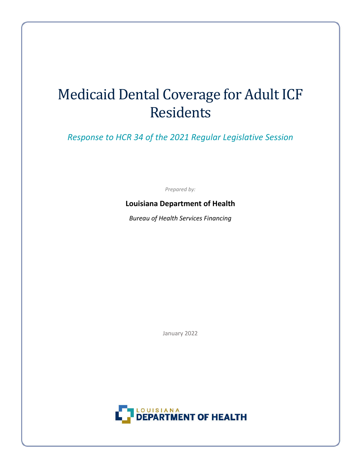# Medicaid Dental Coverage for Adult ICF Residents

*Response to HCR 34 of the 2021 Regular Legislative Session*

*Prepared by:*

### **Louisiana Department of Health**

*Bureau of Health Services Financing*

January 2022

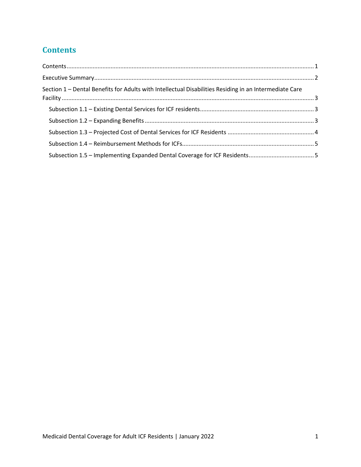## <span id="page-1-0"></span>**Contents**

| Section 1 – Dental Benefits for Adults with Intellectual Disabilities Residing in an Intermediate Care |  |
|--------------------------------------------------------------------------------------------------------|--|
|                                                                                                        |  |
|                                                                                                        |  |
|                                                                                                        |  |
|                                                                                                        |  |
|                                                                                                        |  |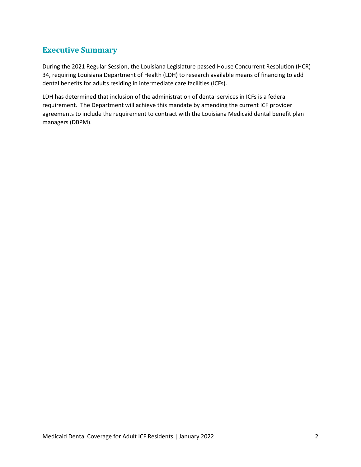## <span id="page-2-0"></span>**Executive Summary**

During the 2021 Regular Session, the Louisiana Legislature passed House Concurrent Resolution (HCR) 34, requiring Louisiana Department of Health (LDH) to research available means of financing to add dental benefits for adults residing in intermediate care facilities (ICFs).

LDH has determined that inclusion of the administration of dental services in ICFs is a federal requirement. The Department will achieve this mandate by amending the current ICF provider agreements to include the requirement to contract with the Louisiana Medicaid dental benefit plan managers (DBPM).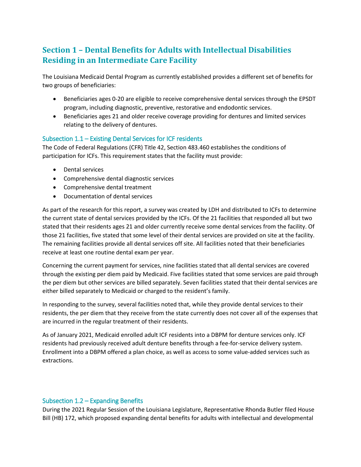## <span id="page-3-0"></span>**Section 1 – Dental Benefits for Adults with Intellectual Disabilities Residing in an Intermediate Care Facility**

The Louisiana Medicaid Dental Program as currently established provides a different set of benefits for two groups of beneficiaries:

- Beneficiaries ages 0-20 are eligible to receive comprehensive dental services through the EPSDT program, including diagnostic, preventive, restorative and endodontic services.
- Beneficiaries ages 21 and older receive coverage providing for dentures and limited services relating to the delivery of dentures.

#### <span id="page-3-1"></span>Subsection 1.1 – Existing Dental Services for ICF residents

The Code of Federal Regulations (CFR) Title 42, Section 483.460 establishes the conditions of participation for ICFs. This requirement states that the facility must provide:

- Dental services
- Comprehensive dental diagnostic services
- Comprehensive dental treatment
- Documentation of dental services

As part of the research for this report, a survey was created by LDH and distributed to ICFs to determine the current state of dental services provided by the ICFs. Of the 21 facilities that responded all but two stated that their residents ages 21 and older currently receive some dental services from the facility. Of those 21 facilities, five stated that some level of their dental services are provided on site at the facility. The remaining facilities provide all dental services off site. All facilities noted that their beneficiaries receive at least one routine dental exam per year.

Concerning the current payment for services, nine facilities stated that all dental services are covered through the existing per diem paid by Medicaid. Five facilities stated that some services are paid through the per diem but other services are billed separately. Seven facilities stated that their dental services are either billed separately to Medicaid or charged to the resident's family.

In responding to the survey, several facilities noted that, while they provide dental services to their residents, the per diem that they receive from the state currently does not cover all of the expenses that are incurred in the regular treatment of their residents.

As of January 2021, Medicaid enrolled adult ICF residents into a DBPM for denture services only. ICF residents had previously received adult denture benefits through a fee-for-service delivery system. Enrollment into a DBPM offered a plan choice, as well as access to some value-added services such as extractions.

#### <span id="page-3-2"></span>Subsection 1.2 – Expanding Benefits

During the 2021 Regular Session of the Louisiana Legislature, Representative Rhonda Butler filed House Bill (HB) 172, which proposed expanding dental benefits for adults with intellectual and developmental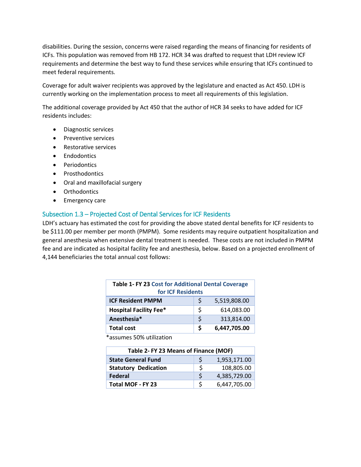disabilities. During the session, concerns were raised regarding the means of financing for residents of ICFs. This population was removed from HB 172. HCR 34 was drafted to request that LDH review ICF requirements and determine the best way to fund these services while ensuring that ICFs continued to meet federal requirements.

Coverage for adult waiver recipients was approved by the legislature and enacted as Act 450. LDH is currently working on the implementation process to meet all requirements of this legislation.

The additional coverage provided by Act 450 that the author of HCR 34 seeks to have added for ICF residents includes:

- Diagnostic services
- Preventive services
- Restorative services
- Endodontics
- Periodontics
- Prosthodontics
- Oral and maxillofacial surgery
- Orthodontics
- Emergency care

#### <span id="page-4-0"></span>Subsection 1.3 – Projected Cost of Dental Services for ICF Residents

LDH's actuary has estimated the cost for providing the above stated dental benefits for ICF residents to be \$111.00 per member per month (PMPM). Some residents may require outpatient hospitalization and general anesthesia when extensive dental treatment is needed. These costs are not included in PMPM fee and are indicated as hosipital facility fee and anesthesia, below. Based on a projected enrollment of 4,144 beneficiaries the total annual cost follows:

| Table 1- FY 23 Cost for Additional Dental Coverage |    |              |  |  |
|----------------------------------------------------|----|--------------|--|--|
| for ICF Residents                                  |    |              |  |  |
| <b>ICF Resident PMPM</b>                           | S  | 5,519,808.00 |  |  |
| <b>Hospital Facility Fee*</b>                      | \$ | 614,083.00   |  |  |
| Anesthesia*                                        | ς  | 313,814.00   |  |  |
| <b>Total cost</b>                                  | S  | 6,447,705.00 |  |  |

\*assumes 50% utilization

| Table 2- FY 23 Means of Finance (MOF) |   |              |  |
|---------------------------------------|---|--------------|--|
| <b>State General Fund</b>             | ς | 1,953,171.00 |  |
| <b>Statutory Dedication</b>           | Ś | 108,805.00   |  |
| <b>Federal</b>                        | S | 4,385,729.00 |  |
| <b>Total MOF - FY 23</b>              | ς | 6,447,705.00 |  |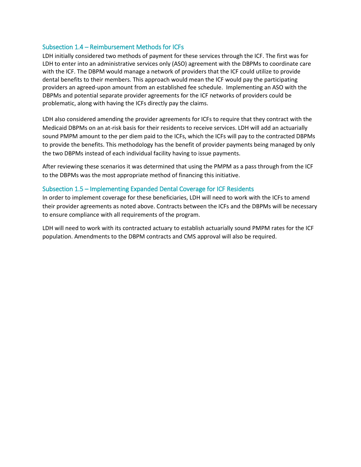#### <span id="page-5-0"></span>Subsection 1.4 – Reimbursement Methods for ICFs

LDH initially considered two methods of payment for these services through the ICF. The first was for LDH to enter into an administrative services only (ASO) agreement with the DBPMs to coordinate care with the ICF. The DBPM would manage a network of providers that the ICF could utilize to provide dental benefits to their members. This approach would mean the ICF would pay the participating providers an agreed-upon amount from an established fee schedule. Implementing an ASO with the DBPMs and potential separate provider agreements for the ICF networks of providers could be problematic, along with having the ICFs directly pay the claims.

LDH also considered amending the provider agreements for ICFs to require that they contract with the Medicaid DBPMs on an at-risk basis for their residents to receive services. LDH will add an actuarially sound PMPM amount to the per diem paid to the ICFs, which the ICFs will pay to the contracted DBPMs to provide the benefits. This methodology has the benefit of provider payments being managed by only the two DBPMs instead of each individual facility having to issue payments.

After reviewing these scenarios it was determined that using the PMPM as a pass through from the ICF to the DBPMs was the most appropriate method of financing this initiative.

#### <span id="page-5-1"></span>Subsection 1.5 – Implementing Expanded Dental Coverage for ICF Residents

In order to implement coverage for these beneficiaries, LDH will need to work with the ICFs to amend their provider agreements as noted above. Contracts between the ICFs and the DBPMs will be necessary to ensure compliance with all requirements of the program.

LDH will need to work with its contracted actuary to establish actuarially sound PMPM rates for the ICF population. Amendments to the DBPM contracts and CMS approval will also be required.